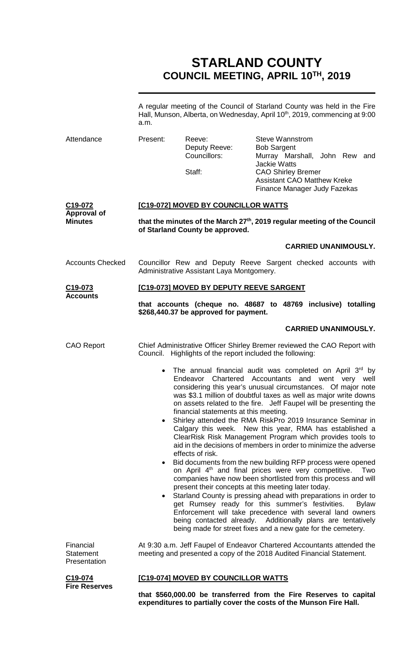# **STARLAND COUNTY COUNCIL MEETING, APRIL 10TH, 2019**

A regular meeting of the Council of Starland County was held in the Fire Hall, Munson, Alberta, on Wednesday, April 10<sup>th</sup>, 2019, commencing at 9:00 a.m.

| Attendance                                                   | Present:                                                                                                                                         | Reeve:<br>Deputy Reeve:<br>Councillors:<br>Staff:         | <b>Steve Wannstrom</b><br><b>Bob Sargent</b><br>Murray Marshall, John Rew and<br><b>Jackie Watts</b><br><b>CAO Shirley Bremer</b><br><b>Assistant CAO Matthew Kreke</b><br>Finance Manager Judy Fazekas                                                                                                                                                                                                                                                                                                                                                                                                                                                                                                                                                                                                                                                                                                                                                                                                                                                                                                                                                                               |  |  |
|--------------------------------------------------------------|--------------------------------------------------------------------------------------------------------------------------------------------------|-----------------------------------------------------------|---------------------------------------------------------------------------------------------------------------------------------------------------------------------------------------------------------------------------------------------------------------------------------------------------------------------------------------------------------------------------------------------------------------------------------------------------------------------------------------------------------------------------------------------------------------------------------------------------------------------------------------------------------------------------------------------------------------------------------------------------------------------------------------------------------------------------------------------------------------------------------------------------------------------------------------------------------------------------------------------------------------------------------------------------------------------------------------------------------------------------------------------------------------------------------------|--|--|
| C <sub>19</sub> -072<br><b>Approval of</b><br><b>Minutes</b> | <b>[C19-072] MOVED BY COUNCILLOR WATTS</b>                                                                                                       |                                                           |                                                                                                                                                                                                                                                                                                                                                                                                                                                                                                                                                                                                                                                                                                                                                                                                                                                                                                                                                                                                                                                                                                                                                                                       |  |  |
|                                                              | that the minutes of the March 27 <sup>th</sup> , 2019 regular meeting of the Council<br>of Starland County be approved.                          |                                                           |                                                                                                                                                                                                                                                                                                                                                                                                                                                                                                                                                                                                                                                                                                                                                                                                                                                                                                                                                                                                                                                                                                                                                                                       |  |  |
|                                                              |                                                                                                                                                  |                                                           | <b>CARRIED UNANIMOUSLY.</b>                                                                                                                                                                                                                                                                                                                                                                                                                                                                                                                                                                                                                                                                                                                                                                                                                                                                                                                                                                                                                                                                                                                                                           |  |  |
| <b>Accounts Checked</b>                                      | Councillor Rew and Deputy Reeve Sargent checked accounts with<br>Administrative Assistant Laya Montgomery.                                       |                                                           |                                                                                                                                                                                                                                                                                                                                                                                                                                                                                                                                                                                                                                                                                                                                                                                                                                                                                                                                                                                                                                                                                                                                                                                       |  |  |
| C <sub>19</sub> -073<br><b>Accounts</b>                      | [C19-073] MOVED BY DEPUTY REEVE SARGENT                                                                                                          |                                                           |                                                                                                                                                                                                                                                                                                                                                                                                                                                                                                                                                                                                                                                                                                                                                                                                                                                                                                                                                                                                                                                                                                                                                                                       |  |  |
|                                                              | that accounts (cheque no. 48687 to 48769 inclusive) totalling<br>\$268,440.37 be approved for payment.                                           |                                                           |                                                                                                                                                                                                                                                                                                                                                                                                                                                                                                                                                                                                                                                                                                                                                                                                                                                                                                                                                                                                                                                                                                                                                                                       |  |  |
|                                                              |                                                                                                                                                  |                                                           | <b>CARRIED UNANIMOUSLY.</b>                                                                                                                                                                                                                                                                                                                                                                                                                                                                                                                                                                                                                                                                                                                                                                                                                                                                                                                                                                                                                                                                                                                                                           |  |  |
| <b>CAO Report</b>                                            |                                                                                                                                                  | Council. Highlights of the report included the following: | Chief Administrative Officer Shirley Bremer reviewed the CAO Report with                                                                                                                                                                                                                                                                                                                                                                                                                                                                                                                                                                                                                                                                                                                                                                                                                                                                                                                                                                                                                                                                                                              |  |  |
|                                                              | $\bullet$<br>$\bullet$                                                                                                                           | financial statements at this meeting.<br>effects of risk. | The annual financial audit was completed on April 3rd by<br>Endeavor Chartered Accountants and went very well<br>considering this year's unusual circumstances. Of major note<br>was \$3.1 million of doubtful taxes as well as major write downs<br>on assets related to the fire. Jeff Faupel will be presenting the<br>Shirley attended the RMA RiskPro 2019 Insurance Seminar in<br>Calgary this week. New this year, RMA has established a<br>ClearRisk Risk Management Program which provides tools to<br>aid in the decisions of members in order to minimize the adverse<br>Bid documents from the new building RFP process were opened<br>on April 4 <sup>th</sup> and final prices were very competitive.<br>Two<br>companies have now been shortlisted from this process and will<br>present their concepts at this meeting later today.<br>Starland County is pressing ahead with preparations in order to<br>get Rumsey ready for this summer's festivities.<br><b>Bylaw</b><br>Enforcement will take precedence with several land owners<br>being contacted already. Additionally plans are tentatively<br>being made for street fixes and a new gate for the cemetery. |  |  |
| Financial<br><b>Statement</b><br>Presentation                | At 9:30 a.m. Jeff Faupel of Endeavor Chartered Accountants attended the<br>meeting and presented a copy of the 2018 Audited Financial Statement. |                                                           |                                                                                                                                                                                                                                                                                                                                                                                                                                                                                                                                                                                                                                                                                                                                                                                                                                                                                                                                                                                                                                                                                                                                                                                       |  |  |
| C40.074                                                      |                                                                                                                                                  | <b>IC40 0741 MOVED BY COUNCILLOB WATTS</b>                |                                                                                                                                                                                                                                                                                                                                                                                                                                                                                                                                                                                                                                                                                                                                                                                                                                                                                                                                                                                                                                                                                                                                                                                       |  |  |

**C19-074 Fire Reserves**

# **[C19-074] MOVED BY COUNCILLOR WATTS**

**that \$560,000.00 be transferred from the Fire Reserves to capital expenditures to partially cover the costs of the Munson Fire Hall.**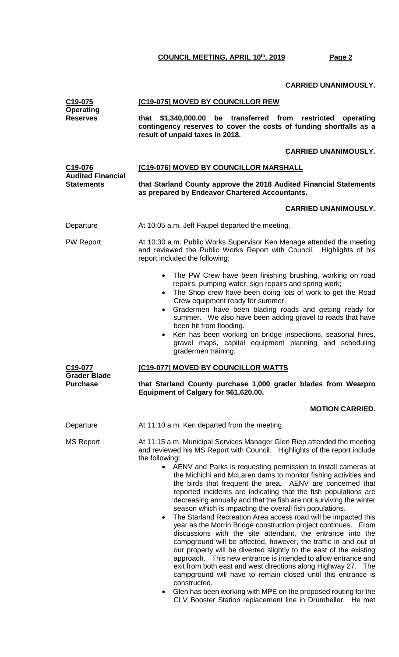# **CARRIED UNANIMOUSLY.**

| C19-075<br><b>Operating</b>                   | [C19-075] MOVED BY COUNCILLOR REW                                                                                                                                                                                                                                                                                                                                                                                                                                                                                                                                                                                                                                                                                                                                                                                                                                                                                                                                                                                                                          |  |  |
|-----------------------------------------------|------------------------------------------------------------------------------------------------------------------------------------------------------------------------------------------------------------------------------------------------------------------------------------------------------------------------------------------------------------------------------------------------------------------------------------------------------------------------------------------------------------------------------------------------------------------------------------------------------------------------------------------------------------------------------------------------------------------------------------------------------------------------------------------------------------------------------------------------------------------------------------------------------------------------------------------------------------------------------------------------------------------------------------------------------------|--|--|
| <b>Reserves</b>                               | that \$1,340,000.00<br>be transferred<br>from<br>restricted<br>operating<br>contingency reserves to cover the costs of funding shortfalls as a<br>result of unpaid taxes in 2018.                                                                                                                                                                                                                                                                                                                                                                                                                                                                                                                                                                                                                                                                                                                                                                                                                                                                          |  |  |
|                                               | <b>CARRIED UNANIMOUSLY.</b>                                                                                                                                                                                                                                                                                                                                                                                                                                                                                                                                                                                                                                                                                                                                                                                                                                                                                                                                                                                                                                |  |  |
| C <sub>19</sub> -076                          | [C19-076] MOVED BY COUNCILLOR MARSHALL                                                                                                                                                                                                                                                                                                                                                                                                                                                                                                                                                                                                                                                                                                                                                                                                                                                                                                                                                                                                                     |  |  |
| <b>Audited Financial</b><br><b>Statements</b> | that Starland County approve the 2018 Audited Financial Statements<br>as prepared by Endeavor Chartered Accountants.                                                                                                                                                                                                                                                                                                                                                                                                                                                                                                                                                                                                                                                                                                                                                                                                                                                                                                                                       |  |  |
|                                               | <b>CARRIED UNANIMOUSLY.</b>                                                                                                                                                                                                                                                                                                                                                                                                                                                                                                                                                                                                                                                                                                                                                                                                                                                                                                                                                                                                                                |  |  |
| Departure                                     | At 10:05 a.m. Jeff Faupel departed the meeting.                                                                                                                                                                                                                                                                                                                                                                                                                                                                                                                                                                                                                                                                                                                                                                                                                                                                                                                                                                                                            |  |  |
| <b>PW Report</b>                              | At 10:30 a.m. Public Works Supervisor Ken Menage attended the meeting<br>and reviewed the Public Works Report with Council. Highlights of his<br>report included the following:                                                                                                                                                                                                                                                                                                                                                                                                                                                                                                                                                                                                                                                                                                                                                                                                                                                                            |  |  |
|                                               | The PW Crew have been finishing brushing, working on road<br>$\bullet$<br>repairs, pumping water, sign repairs and spring work;<br>The Shop crew have been doing lots of work to get the Road<br>Crew equipment ready for summer.<br>Gradermen have been blading roads and getting ready for<br>$\bullet$<br>summer. We also have been adding gravel to roads that have<br>been hit from flooding.<br>Ken has been working on bridge inspections, seasonal hires,<br>$\bullet$<br>gravel maps, capital equipment planning and scheduling                                                                                                                                                                                                                                                                                                                                                                                                                                                                                                                   |  |  |
| C19-077                                       | gradermen training.                                                                                                                                                                                                                                                                                                                                                                                                                                                                                                                                                                                                                                                                                                                                                                                                                                                                                                                                                                                                                                        |  |  |
| <b>Grader Blade</b><br><b>Purchase</b>        | [C19-077] MOVED BY COUNCILLOR WATTS<br>that Starland County purchase 1,000 grader blades from Wearpro<br>Equipment of Calgary for \$61,620.00.                                                                                                                                                                                                                                                                                                                                                                                                                                                                                                                                                                                                                                                                                                                                                                                                                                                                                                             |  |  |
|                                               | <b>MOTION CARRIED.</b>                                                                                                                                                                                                                                                                                                                                                                                                                                                                                                                                                                                                                                                                                                                                                                                                                                                                                                                                                                                                                                     |  |  |
| Departure                                     | At 11:10 a.m. Ken departed from the meeting.                                                                                                                                                                                                                                                                                                                                                                                                                                                                                                                                                                                                                                                                                                                                                                                                                                                                                                                                                                                                               |  |  |
| <b>MS Report</b>                              | At 11:15 a.m. Municipal Services Manager Glen Riep attended the meeting<br>and reviewed his MS Report with Council. Highlights of the report include<br>the following:                                                                                                                                                                                                                                                                                                                                                                                                                                                                                                                                                                                                                                                                                                                                                                                                                                                                                     |  |  |
|                                               | AENV and Parks is requesting permission to install cameras at<br>$\bullet$<br>the Michichi and McLaren dams to monitor fishing activities and<br>the birds that frequent the area. AENV are concerned that<br>reported incidents are indicating that the fish populations are<br>decreasing annually and that the fish are not surviving the winter<br>season which is impacting the overall fish populations.<br>The Starland Recreation Area access road will be impacted this<br>$\bullet$<br>year as the Morrin Bridge construction project continues. From<br>discussions with the site attendant, the entrance into the<br>campground will be affected, however, the traffic in and out of<br>our property will be diverted slightly to the east of the existing<br>approach. This new entrance is intended to allow entrance and<br>exit from both east and west directions along Highway 27. The<br>campground will have to remain closed until this entrance is<br>constructed.<br>Glen has been working with MPE on the proposed routing for the |  |  |

• Glen has been working with MPE on the proposed routing for the CLV Booster Station replacement line in Drumheller. He met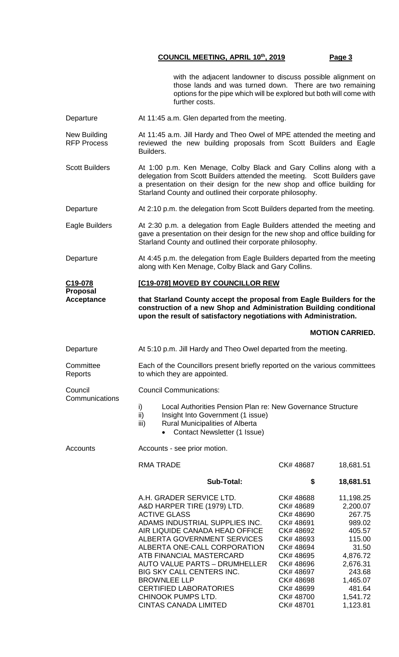with the adjacent landowner to discuss possible alignment on those lands and was turned down. There are two remaining options for the pipe which will be explored but both will come with further costs.

Departure **At 11:45 a.m. Glen departed from the meeting.** 

New Building RFP Process At 11:45 a.m. Jill Hardy and Theo Owel of MPE attended the meeting and reviewed the new building proposals from Scott Builders and Eagle Builders.

Scott Builders At 1:00 p.m. Ken Menage, Colby Black and Gary Collins along with a delegation from Scott Builders attended the meeting. Scott Builders gave a presentation on their design for the new shop and office building for Starland County and outlined their corporate philosophy.

Departure **At 2:10 p.m. the delegation from Scott Builders departed from the meeting.** 

Eagle Builders At 2:30 p.m. a delegation from Eagle Builders attended the meeting and gave a presentation on their design for the new shop and office building for Starland County and outlined their corporate philosophy.

Departure At 4:45 p.m. the delegation from Eagle Builders departed from the meeting along with Ken Menage, Colby Black and Gary Collins.

#### **C19-078 [C19-078] MOVED BY COUNCILLOR REW**

**Proposal Acceptance that Starland County accept the proposal from Eagle Builders for the construction of a new Shop and Administration Building conditional upon the result of satisfactory negotiations with Administration.**

### **MOTION CARRIED.**

| Departure                 | At 5:10 p.m. Jill Hardy and Theo Owel departed from the meeting.                                                                                                                                |                                   |                                 |  |
|---------------------------|-------------------------------------------------------------------------------------------------------------------------------------------------------------------------------------------------|-----------------------------------|---------------------------------|--|
| Committee<br>Reports      | Each of the Councillors present briefly reported on the various committees<br>to which they are appointed.                                                                                      |                                   |                                 |  |
| Council<br>Communications | <b>Council Communications:</b>                                                                                                                                                                  |                                   |                                 |  |
|                           | Local Authorities Pension Plan re: New Governance Structure<br>i)<br>ii)<br>Insight Into Government (1 issue)<br>iii)<br><b>Rural Municipalities of Alberta</b><br>Contact Newsletter (1 Issue) |                                   |                                 |  |
| Accounts                  | Accounts - see prior motion.                                                                                                                                                                    |                                   |                                 |  |
|                           | <b>RMA TRADE</b>                                                                                                                                                                                | CK#48687                          | 18,681.51                       |  |
|                           | Sub-Total:                                                                                                                                                                                      | \$                                | 18,681.51                       |  |
|                           | A.H. GRADER SERVICE LTD.<br>A&D HARPER TIRE (1979) LTD.<br><b>ACTIVE GLASS</b>                                                                                                                  | CK#48688<br>CK# 48689<br>CK#48690 | 11,198.25<br>2,200.07<br>267.75 |  |

AIR LIQUIDE CANADA HEAD OFFICE CK# 48692

**CINTAS CANADA LIMITED** 

ADAMS INDUSTRIAL SUPPLIES INC. CK# 48691 989.02<br>AIR LIQUIDE CANADA HEAD OFFICE CK# 48692 405.57

ALBERTA GOVERNMENT SERVICES CK# 48693 115.00 ALBERTA ONE-CALL CORPORATION CK# 48694 31.50 ATB FINANCIAL MASTERCARD CK# 48695 4,876.72 AUTO VALUE PARTS – DRUMHELLER CK# 48696 2,676.31 BIG SKY CALL CENTERS INC. CK# 48697 243.68 BROWNLEE LLP CK# 48698 1,465.07 CERTIFIED LABORATORIES CK# 48699 481.64 CHINOOK PUMPS LTD. CK# 48700 1,541.72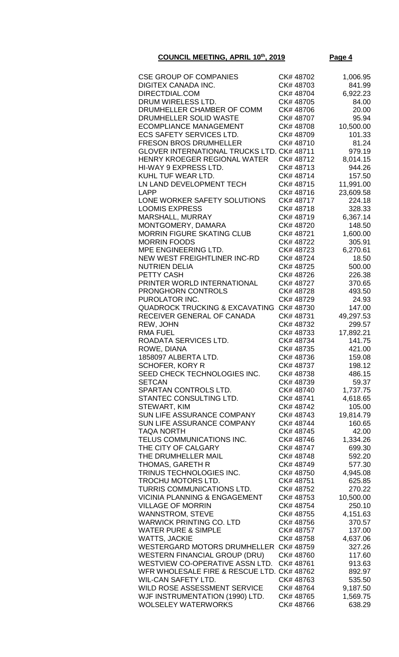| <b>CSE GROUP OF COMPANIES</b>                                                 | CK# 48702              | 1,006.95            |
|-------------------------------------------------------------------------------|------------------------|---------------------|
| DIGITEX CANADA INC.                                                           | CK# 48703              | 841.99              |
| DIRECTDIAL.COM                                                                | CK# 48704              | 6,922.23            |
| DRUM WIRELESS LTD.                                                            | CK# 48705              | 84.00               |
| DRUMHELLER CHAMBER OF COMM                                                    | CK# 48706              | 20.00               |
| DRUMHELLER SOLID WASTE                                                        | CK# 48707              | 95.94               |
| <b>ECOMPLIANCE MANAGEMENT</b>                                                 | CK# 48708              | 10,500.00           |
| <b>ECS SAFETY SERVICES LTD.</b>                                               | CK# 48709              | 101.33              |
| <b>FRESON BROS DRUMHELLER</b>                                                 | CK# 48710              | 81.24               |
| GLOVER INTERNATIONAL TRUCKS LTD. CK# 48711                                    |                        | 979.19              |
| HENRY KROEGER REGIONAL WATER                                                  | CK#48712               | 8,014.15            |
| HI-WAY 9 EXPRESS LTD.                                                         | CK#48713               | 944.26              |
| KUHL TUF WEAR LTD.                                                            | CK# 48714              | 157.50              |
| LN LAND DEVELOPMENT TECH                                                      | CK#48715               | 11,991.00           |
| LAPP<br>LONE WORKER SAFETY SOLUTIONS                                          | CK#48716<br>CK#48717   | 23,609.58<br>224.18 |
| <b>LOOMIS EXPRESS</b>                                                         | CK# 48718              | 328.33              |
| MARSHALL, MURRAY                                                              | CK# 48719              | 6,367.14            |
| MONTGOMERY, DAMARA                                                            | CK# 48720              | 148.50              |
| <b>MORRIN FIGURE SKATING CLUB</b>                                             | CK# 48721              | 1,600.00            |
| <b>MORRIN FOODS</b>                                                           | CK# 48722              | 305.91              |
| MPE ENGINEERING LTD.                                                          | CK# 48723              | 6,270.61            |
| NEW WEST FREIGHTLINER INC-RD                                                  | CK# 48724              | 18.50               |
| <b>NUTRIEN DELIA</b>                                                          | CK# 48725              | 500.00              |
| PETTY CASH                                                                    | CK# 48726              | 226.38              |
| PRINTER WORLD INTERNATIONAL                                                   | CK# 48727              | 370.65              |
| <b>PRONGHORN CONTROLS</b>                                                     | CK# 48728              | 493.50              |
| PUROLATOR INC.                                                                | CK# 48729              | 24.93               |
| <b>QUADROCK TRUCKING &amp; EXCAVATING</b>                                     | CK#48730               | 147.00              |
| RECEIVER GENERAL OF CANADA                                                    | CK#48731               | 49,297.53           |
| REW, JOHN                                                                     | CK# 48732              | 299.57              |
| <b>RMA FUEL</b>                                                               | CK# 48733              | 17,892.21           |
| ROADATA SERVICES LTD.                                                         | CK# 48734              | 141.75              |
| ROWE, DIANA                                                                   | CK# 48735              | 421.00              |
| 1858097 ALBERTA LTD.                                                          | CK# 48736              | 159.08              |
| <b>SCHOFER, KORY R</b>                                                        | CK# 48737              | 198.12              |
| SEED CHECK TECHNOLOGIES INC.                                                  | CK# 48738              | 486.15              |
| <b>SETCAN</b>                                                                 | CK# 48739              | 59.37               |
| SPARTAN CONTROLS LTD.<br>STANTEC CONSULTING LTD.                              | CK# 48740<br>CK# 48741 | 1,737.75            |
| STEWART, KIM                                                                  | CK# 48742              | 4,618.65<br>105.00  |
| SUN LIFE ASSURANCE COMPANY                                                    | CK# 48743              | 19,814.79           |
| SUN LIFE ASSURANCE COMPANY                                                    | CK# 48744              | 160.65              |
| <b>TAQA NORTH</b>                                                             | CK# 48745              | 42.00               |
| TELUS COMMUNICATIONS INC.                                                     | CK# 48746              | 1,334.26            |
| THE CITY OF CALGARY                                                           | CK# 48747              | 699.30              |
| THE DRUMHELLER MAIL                                                           | CK# 48748              | 592.20              |
| THOMAS, GARETH R                                                              | CK# 48749              | 577.30              |
| TRINUS TECHNOLOGIES INC.                                                      | CK# 48750              | 4,945.08            |
| TROCHU MOTORS LTD.                                                            | CK# 48751              | 625.85              |
| TURRIS COMMUNICATIONS LTD.                                                    | CK# 48752              | 270.22              |
| <b>VICINIA PLANNING &amp; ENGAGEMENT</b>                                      | CK# 48753              | 10,500.00           |
| <b>VILLAGE OF MORRIN</b>                                                      | CK# 48754              | 250.10              |
| <b>WANNSTROM, STEVE</b>                                                       | CK# 48755              | 4,151.63            |
| <b>WARWICK PRINTING CO. LTD</b>                                               | CK# 48756              | 370.57              |
| <b>WATER PURE &amp; SIMPLE</b>                                                | CK# 48757              | 137.00              |
| <b>WATTS, JACKIE</b>                                                          | CK# 48758              | 4,637.06            |
| <b>WESTERGARD MOTORS DRUMHELLER</b>                                           | CK# 48759              | 327.26              |
| <b>WESTERN FINANCIAL GROUP (DRU)</b>                                          | CK# 48760              | 117.60              |
| WESTVIEW CO-OPERATIVE ASSN LTD.<br>WFR WHOLESALE FIRE & RESCUE LTD. CK# 48762 | CK# 48761              | 913.63<br>892.97    |
| <b>WIL-CAN SAFETY LTD.</b>                                                    | CK# 48763              | 535.50              |
| WILD ROSE ASSESSMENT SERVICE                                                  | CK# 48764              | 9,187.50            |
| WJF INSTRUMENTATION (1990) LTD.                                               | CK# 48765              | 1,569.75            |
| <b>WOLSELEY WATERWORKS</b>                                                    | CK# 48766              | 638.29              |
|                                                                               |                        |                     |